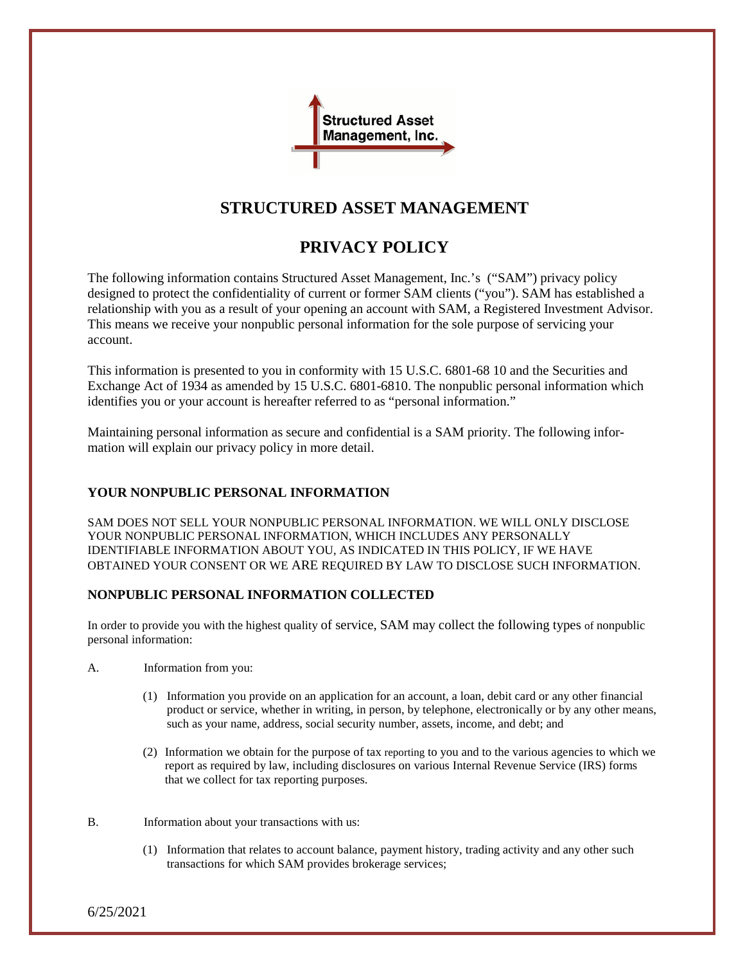

# **STRUCTURED ASSET MANAGEMENT**

# **PRIVACY POLICY**

The following information contains Structured Asset Management, Inc.'s ("SAM") privacy policy designed to protect the confidentiality of current or former SAM clients ("you"). SAM has established a relationship with you as a result of your opening an account with SAM, a Registered Investment Advisor. This means we receive your nonpublic personal information for the sole purpose of servicing your account.

This information is presented to you in conformity with 15 U.S.C. 6801-68 10 and the Securities and Exchange Act of 1934 as amended by 15 U.S.C. 6801-6810. The nonpublic personal information which identifies you or your account is hereafter referred to as "personal information."

Maintaining personal information as secure and confidential is a SAM priority. The following information will explain our privacy policy in more detail.

## **YOUR NONPUBLIC PERSONAL INFORMATION**

SAM DOES NOT SELL YOUR NONPUBLIC PERSONAL INFORMATION. WE WILL ONLY DISCLOSE YOUR NONPUBLIC PERSONAL INFORMATION, WHICH INCLUDES ANY PERSONALLY IDENTIFIABLE INFORMATION ABOUT YOU, AS INDICATED IN THIS POLICY, IF WE HAVE OBTAINED YOUR CONSENT OR WE ARE REQUIRED BY LAW TO DISCLOSE SUCH INFORMATION.

### **NONPUBLIC PERSONAL INFORMATION COLLECTED**

In order to provide you with the highest quality of service, SAM may collect the following types of nonpublic personal information:

A. Information from you:

- (1) Information you provide on an application for an account, a loan, debit card or any other financial product or service, whether in writing, in person, by telephone, electronically or by any other means, such as your name, address, social security number, assets, income, and debt; and
- (2) Information we obtain for the purpose of tax reporting to you and to the various agencies to which we report as required by law, including disclosures on various Internal Revenue Service (IRS) forms that we collect for tax reporting purposes.
- B. Information about your transactions with us:
	- (1) Information that relates to account balance, payment history, trading activity and any other such transactions for which SAM provides brokerage services;

6/25/2021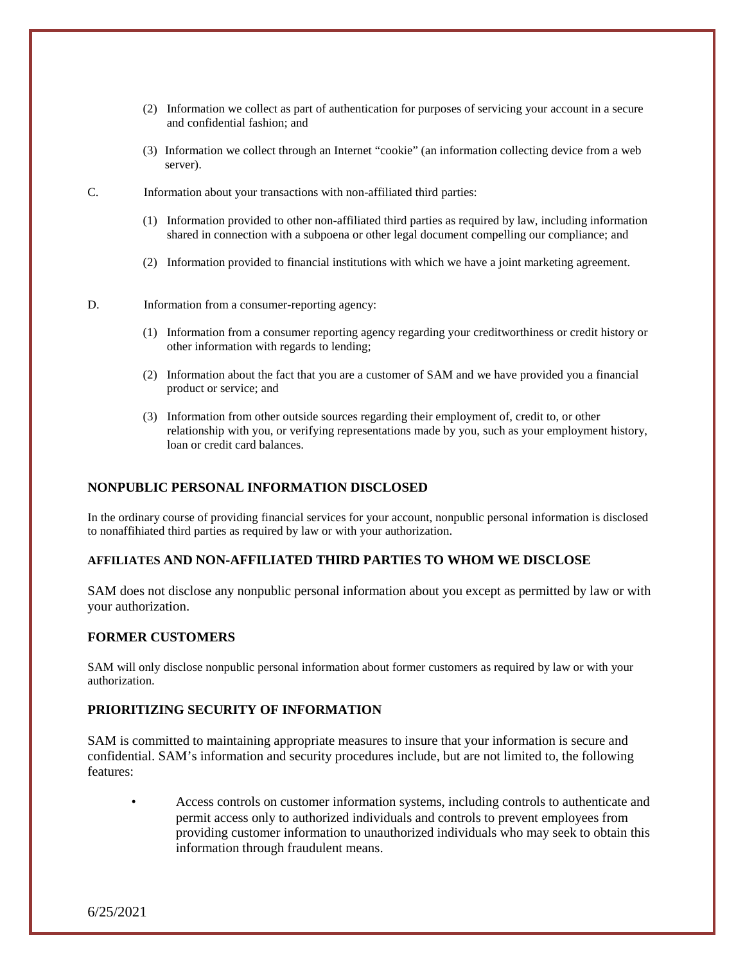- (2) Information we collect as part of authentication for purposes of servicing your account in a secure and confidential fashion; and
- (3) Information we collect through an Internet "cookie" (an information collecting device from a web server).
- C. Information about your transactions with non-affiliated third parties:
	- (1) Information provided to other non-affiliated third parties as required by law, including information shared in connection with a subpoena or other legal document compelling our compliance; and
	- (2) Information provided to financial institutions with which we have a joint marketing agreement.
- D. Information from a consumer-reporting agency:
	- (1) Information from a consumer reporting agency regarding your creditworthiness or credit history or other information with regards to lending;
	- (2) Information about the fact that you are a customer of SAM and we have provided you a financial product or service; and
	- (3) Information from other outside sources regarding their employment of, credit to, or other relationship with you, or verifying representations made by you, such as your employment history, loan or credit card balances.

#### **NONPUBLIC PERSONAL INFORMATION DISCLOSED**

In the ordinary course of providing financial services for your account, nonpublic personal information is disclosed to nonaffihiated third parties as required by law or with your authorization.

#### **AFFILIATES AND NON-AFFILIATED THIRD PARTIES TO WHOM WE DISCLOSE**

SAM does not disclose any nonpublic personal information about you except as permitted by law or with your authorization.

#### **FORMER CUSTOMERS**

SAM will only disclose nonpublic personal information about former customers as required by law or with your authorization.

### **PRIORITIZING SECURITY OF INFORMATION**

SAM is committed to maintaining appropriate measures to insure that your information is secure and confidential. SAM's information and security procedures include, but are not limited to, the following features:

• Access controls on customer information systems, including controls to authenticate and permit access only to authorized individuals and controls to prevent employees from providing customer information to unauthorized individuals who may seek to obtain this information through fraudulent means.

6/25/2021